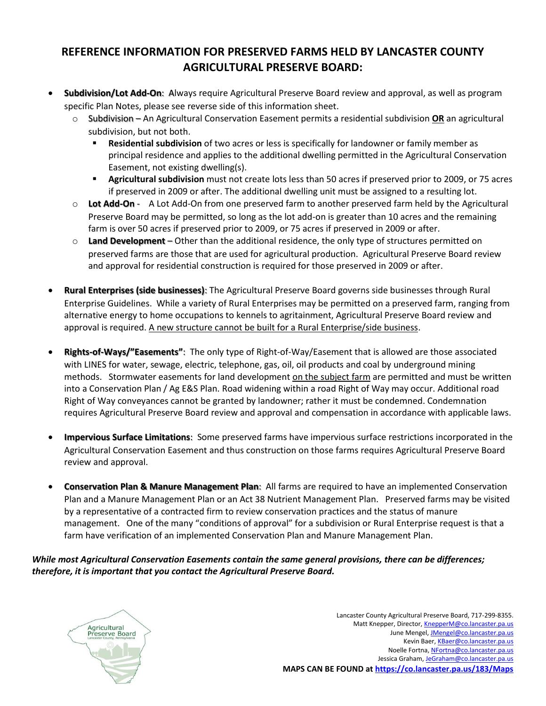## **REFERENCE INFORMATION FOR PRESERVED FARMS HELD BY LANCASTER COUNTY AGRICULTURAL PRESERVE BOARD:**

- **Subdivision/Lot Add-On**: Always require Agricultural Preserve Board review and approval, as well as program specific Plan Notes, please see reverse side of this information sheet.
	- o Subdivision An Agricultural Conservation Easement permits a residential subdivision **OR** an agricultural subdivision, but not both.
		- **Residential subdivision** of two acres or less is specifically for landowner or family member as principal residence and applies to the additional dwelling permitted in the Agricultural Conservation Easement, not existing dwelling(s).
		- Agricultural subdivision must not create lots less than 50 acres if preserved prior to 2009, or 75 acres if preserved in 2009 or after. The additional dwelling unit must be assigned to a resulting lot.
	- o **Lot Add-On** A Lot Add-On from one preserved farm to another preserved farm held by the Agricultural Preserve Board may be permitted, so long as the lot add-on is greater than 10 acres and the remaining farm is over 50 acres if preserved prior to 2009, or 75 acres if preserved in 2009 or after.
	- o **Land Development** Other than the additional residence, the only type of structures permitted on preserved farms are those that are used for agricultural production. Agricultural Preserve Board review and approval for residential construction is required for those preserved in 2009 or after.
- **Rural Enterprises (side businesses)**: The Agricultural Preserve Board governs side businesses through Rural Enterprise Guidelines. While a variety of Rural Enterprises may be permitted on a preserved farm, ranging from alternative energy to home occupations to kennels to agritainment, Agricultural Preserve Board review and approval is required. A new structure cannot be built for a Rural Enterprise/side business.
- **Rights-of-Ways/"Easements"**: The only type of Right-of-Way/Easement that is allowed are those associated with LINES for water, sewage, electric, telephone, gas, oil, oil products and coal by underground mining methods. Stormwater easements for land development on the subject farm are permitted and must be written into a Conservation Plan / Ag E&S Plan. Road widening within a road Right of Way may occur. Additional road Right of Way conveyances cannot be granted by landowner; rather it must be condemned. Condemnation requires Agricultural Preserve Board review and approval and compensation in accordance with applicable laws.
- **Impervious Surface Limitations**: Some preserved farms have impervious surface restrictions incorporated in the Agricultural Conservation Easement and thus construction on those farms requires Agricultural Preserve Board review and approval.
- **Conservation Plan & Manure Management Plan**: All farms are required to have an implemented Conservation Plan and a Manure Management Plan or an Act 38 Nutrient Management Plan. Preserved farms may be visited by a representative of a contracted firm to review conservation practices and the status of manure management. One of the many "conditions of approval" for a subdivision or Rural Enterprise request is that a farm have verification of an implemented Conservation Plan and Manure Management Plan.

*While most Agricultural Conservation Easements contain the same general provisions, there can be differences; therefore, it is important that you contact the Agricultural Preserve Board.*



Lancaster County Agricultural Preserve Board, 717-299-8355. Matt Knepper, Director, [KnepperM@co.lancaster.pa.us](mailto:KnepperM@co.lancaster.pa.us) June Mengel, *JMengel@co.lancaster.pa.us* Kevin Baer[, KBaer@co.lancaster.pa.us](mailto:KBaer@co.lancaster.pa.us) Noelle Fortna[, NFortna@co.lancaster.pa.us](mailto:NFortna@co.lancaster.pa.us) Jessica Graham[, JeGraham@co.lancaster.pa.us](mailto:JeGraham@co.lancaster.pa.us) **MAPS CAN BE FOUND at <https://co.lancaster.pa.us/183/Maps>**